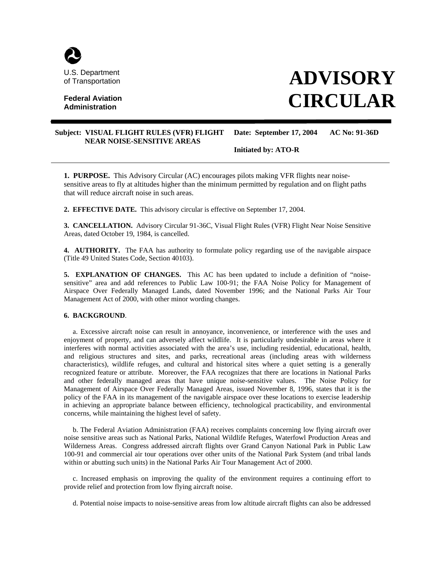

## **Federal Aviation Administration**

# **ADVISORY CIRCULAR**

### **Subject: VISUAL FLIGHT RULES (VFR) FLIGHT Date: September 17, 2004 AC No: 91-36D NEAR NOISE-SENSITIVE AREAS**

**Initiated by: ATO-R** 

**1. PURPOSE.** This Advisory Circular (AC) encourages pilots making VFR flights near noisesensitive areas to fly at altitudes higher than the minimum permitted by regulation and on flight paths that will reduce aircraft noise in such areas.

**2. EFFECTIVE DATE.** This advisory circular is effective on September 17, 2004.

**3. CANCELLATION.** Advisory Circular 91-36C, Visual Flight Rules (VFR) Flight Near Noise Sensitive Areas, dated October 19, 1984, is cancelled.

**4. AUTHORITY.** The FAA has authority to formulate policy regarding use of the navigable airspace (Title 49 United States Code, Section 40103).

**5. EXPLANATION OF CHANGES.** This AC has been updated to include a definition of "noisesensitive" area and add references to Public Law 100-91; the FAA Noise Policy for Management of Airspace Over Federally Managed Lands, dated November 1996; and the National Parks Air Tour Management Act of 2000, with other minor wording changes.

#### **6. BACKGROUND**.

a. Excessive aircraft noise can result in annoyance, inconvenience, or interference with the uses and enjoyment of property, and can adversely affect wildlife. It is particularly undesirable in areas where it interferes with normal activities associated with the area's use, including residential, educational, health, and religious structures and sites, and parks, recreational areas (including areas with wilderness characteristics), wildlife refuges, and cultural and historical sites where a quiet setting is a generally recognized feature or attribute. Moreover, the FAA recognizes that there are locations in National Parks and other federally managed areas that have unique noise-sensitive values. The Noise Policy for Management of Airspace Over Federally Managed Areas, issued November 8, 1996, states that it is the policy of the FAA in its management of the navigable airspace over these locations to exercise leadership in achieving an appropriate balance between efficiency, technological practicability, and environmental concerns, while maintaining the highest level of safety.

b. The Federal Aviation Administration (FAA) receives complaints concerning low flying aircraft over noise sensitive areas such as National Parks, National Wildlife Refuges, Waterfowl Production Areas and Wilderness Areas. Congress addressed aircraft flights over Grand Canyon National Park in Public Law 100-91 and commercial air tour operations over other units of the National Park System (and tribal lands within or abutting such units) in the National Parks Air Tour Management Act of 2000.

c. Increased emphasis on improving the quality of the environment requires a continuing effort to provide relief and protection from low flying aircraft noise.

d. Potential noise impacts to noise-sensitive areas from low altitude aircraft flights can also be addressed